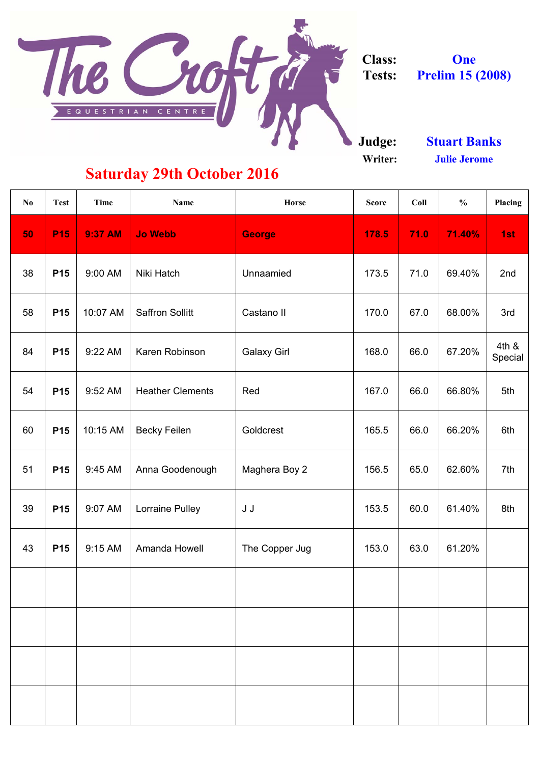

**Writer:**

| N <sub>0</sub> | <b>Test</b> | Time           | <b>Name</b>             | Horse                | <b>Score</b> | Coll | $\frac{0}{0}$ | Placing          |
|----------------|-------------|----------------|-------------------------|----------------------|--------------|------|---------------|------------------|
| 50             | <b>P15</b>  | <b>9:37 AM</b> | <b>Jo Webb</b>          | <b>George</b>        | 178.5        | 71.0 | 71.40%        | 1st              |
| 38             | <b>P15</b>  | 9:00 AM        | Niki Hatch              | Unnaamied            | 173.5        | 71.0 | 69.40%        | 2nd              |
| 58             | <b>P15</b>  | 10:07 AM       | <b>Saffron Sollitt</b>  | Castano II           | 170.0        | 67.0 | 68.00%        | 3rd              |
| 84             | <b>P15</b>  | 9:22 AM        | Karen Robinson          | <b>Galaxy Girl</b>   | 168.0        | 66.0 | 67.20%        | 4th &<br>Special |
| 54             | <b>P15</b>  | 9:52 AM        | <b>Heather Clements</b> | Red                  | 167.0        | 66.0 | 66.80%        | 5th              |
| 60             | <b>P15</b>  | 10:15 AM       | <b>Becky Feilen</b>     | Goldcrest            | 165.5        | 66.0 | 66.20%        | 6th              |
| 51             | <b>P15</b>  | 9:45 AM        | Anna Goodenough         | <b>Maghera Boy 2</b> | 156.5        | 65.0 | 62.60%        | 7th              |
| 39             | <b>P15</b>  | 9:07 AM        | <b>Lorraine Pulley</b>  | J J                  | 153.5        | 60.0 | 61.40%        | 8th              |
| 43             | <b>P15</b>  | $9:15$ AM      | <b>Amanda Howell</b>    | The Copper Jug       | 153.0        | 63.0 | 61.20%        |                  |
|                |             |                |                         |                      |              |      |               |                  |
|                |             |                |                         |                      |              |      |               |                  |
|                |             |                |                         |                      |              |      |               |                  |
|                |             |                |                         |                      |              |      |               |                  |

**One Prelim 15 (2008)**

## **Saturday 29th October 2016**

**Julie Jerome Stuart Banks**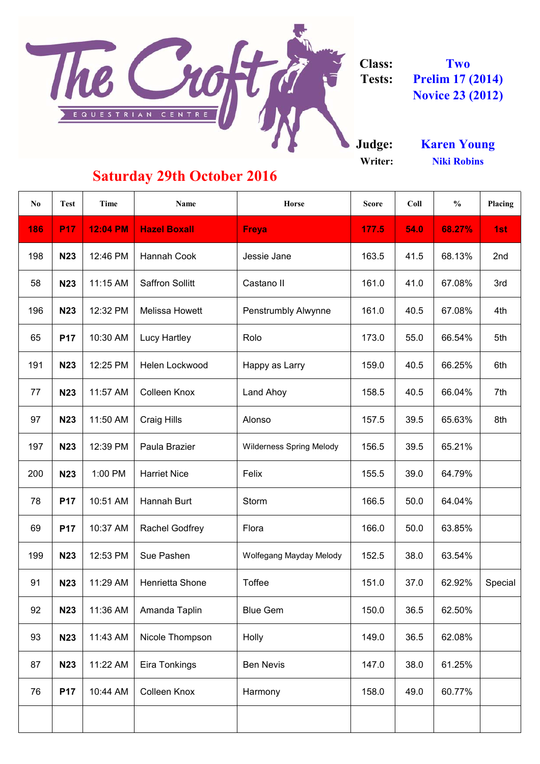

**Class: Tests: Prelim 17 (2014) Novice 23 (2012) Two**

**Judge: Writer:**

| <b>Karen Young</b> |  |
|--------------------|--|
| <b>Niki Robins</b> |  |

## **Saturday 29th October 2016**

| No  | <b>Test</b> | Time            | Name                   | Horse                           | <b>Score</b> | Coll | $\frac{0}{0}$ | Placing |
|-----|-------------|-----------------|------------------------|---------------------------------|--------------|------|---------------|---------|
| 186 | <b>P17</b>  | <b>12:04 PM</b> | <b>Hazel Boxall</b>    | <b>Freya</b>                    | 177.5        | 54.0 | 68.27%        | 1st     |
| 198 | <b>N23</b>  | 12:46 PM        | Hannah Cook            | Jessie Jane                     | 163.5        | 41.5 | 68.13%        | 2nd     |
| 58  | <b>N23</b>  | 11:15 AM        | <b>Saffron Sollitt</b> | Castano II                      | 161.0        | 41.0 | 67.08%        | 3rd     |
| 196 | <b>N23</b>  | 12:32 PM        | Melissa Howett         | Penstrumbly Alwynne             | 161.0        | 40.5 | 67.08%        | 4th     |
| 65  | <b>P17</b>  | 10:30 AM        | Lucy Hartley           | Rolo                            | 173.0        | 55.0 | 66.54%        | 5th     |
| 191 | <b>N23</b>  | 12:25 PM        | Helen Lockwood         | Happy as Larry                  | 159.0        | 40.5 | 66.25%        | 6th     |
| 77  | <b>N23</b>  | 11:57 AM        | Colleen Knox           | Land Ahoy                       | 158.5        | 40.5 | 66.04%        | 7th     |
| 97  | <b>N23</b>  | 11:50 AM        | Craig Hills            | Alonso                          | 157.5        | 39.5 | 65.63%        | 8th     |
| 197 | <b>N23</b>  | 12:39 PM        | Paula Brazier          | <b>Wilderness Spring Melody</b> | 156.5        | 39.5 | 65.21%        |         |
| 200 | <b>N23</b>  | 1:00 PM         | <b>Harriet Nice</b>    | Felix                           | 155.5        | 39.0 | 64.79%        |         |
| 78  | <b>P17</b>  | 10:51 AM        | Hannah Burt            | Storm                           | 166.5        | 50.0 | 64.04%        |         |
| 69  | <b>P17</b>  | 10:37 AM        | Rachel Godfrey         | Flora                           | 166.0        | 50.0 | 63.85%        |         |
| 199 | <b>N23</b>  | 12:53 PM        | Sue Pashen             | Wolfegang Mayday Melody         | 152.5        | 38.0 | 63.54%        |         |
| 91  | <b>N23</b>  | 11:29 AM        | Henrietta Shone        | Toffee                          | 151.0        | 37.0 | 62.92%        | Special |
| 92  | <b>N23</b>  | 11:36 AM        | Amanda Taplin          | <b>Blue Gem</b>                 | 150.0        | 36.5 | 62.50%        |         |
| 93  | <b>N23</b>  | 11:43 AM        | Nicole Thompson        | Holly                           | 149.0        | 36.5 | 62.08%        |         |
| 87  | <b>N23</b>  | 11:22 AM        | Eira Tonkings          | <b>Ben Nevis</b>                | 147.0        | 38.0 | 61.25%        |         |
| 76  | <b>P17</b>  | 10:44 AM        | Colleen Knox           | Harmony                         | 158.0        | 49.0 | 60.77%        |         |
|     |             |                 |                        |                                 |              |      |               |         |
|     |             |                 |                        |                                 |              |      |               |         |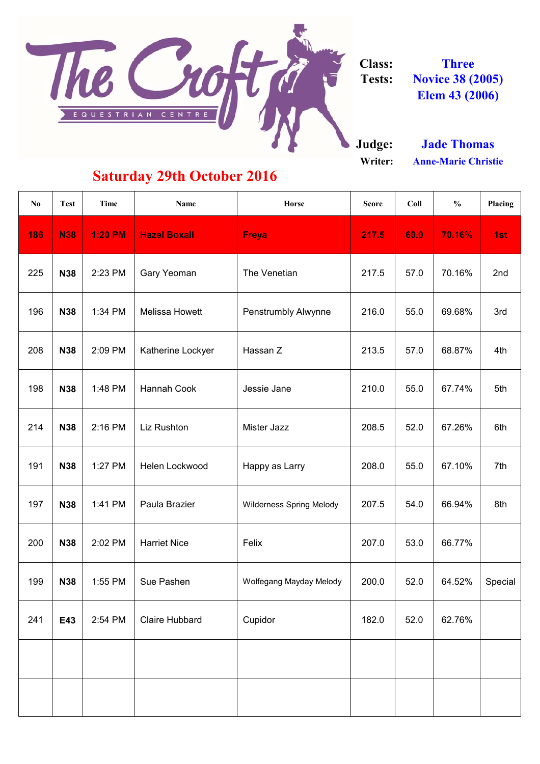

**Class: Tests: Three Novice 38 (2005) Elem 43 (2006)**

**Judge:**

**Writer:**

**Jade Thomas Anne-Marie Christie**

## **Saturday 29th October 2016**

| No  | <b>Test</b> | <b>Time</b>    | Name                  | <b>Horse</b>                    | <b>Score</b> | Coll | $\frac{0}{0}$ | Placing |
|-----|-------------|----------------|-----------------------|---------------------------------|--------------|------|---------------|---------|
| 186 | <b>N38</b>  | <b>1:20 PM</b> | <b>Hazel Boxall</b>   | <b>Freya</b>                    | 217.5        | 60.0 | 70.16%        | 1st     |
| 225 | <b>N38</b>  | 2:23 PM        | Gary Yeoman           | The Venetian                    | 217.5        | 57.0 | 70.16%        | 2nd     |
| 196 | <b>N38</b>  | 1:34 PM        | Melissa Howett        | Penstrumbly Alwynne             | 216.0        | 55.0 | 69.68%        | 3rd     |
| 208 | <b>N38</b>  | 2:09 PM        | Katherine Lockyer     | Hassan Z                        | 213.5        | 57.0 | 68.87%        | 4th     |
| 198 | <b>N38</b>  | 1:48 PM        | Hannah Cook           | Jessie Jane                     | 210.0        | 55.0 | 67.74%        | 5th     |
| 214 | <b>N38</b>  | 2:16 PM        | Liz Rushton           | Mister Jazz                     | 208.5        | 52.0 | 67.26%        | 6th     |
| 191 | <b>N38</b>  | 1:27 PM        | Helen Lockwood        | Happy as Larry                  | 208.0        | 55.0 | 67.10%        | 7th     |
| 197 | <b>N38</b>  | 1:41 PM        | Paula Brazier         | <b>Wilderness Spring Melody</b> | 207.5        | 54.0 | 66.94%        | 8th     |
| 200 | <b>N38</b>  | 2:02 PM        | <b>Harriet Nice</b>   | Felix                           | 207.0        | 53.0 | 66.77%        |         |
| 199 | <b>N38</b>  | 1:55 PM        | Sue Pashen            | Wolfegang Mayday Melody         | 200.0        | 52.0 | 64.52%        | Special |
| 241 | E43         | 2:54 PM        | <b>Claire Hubbard</b> | Cupidor                         | 182.0        | 52.0 | 62.76%        |         |
|     |             |                |                       |                                 |              |      |               |         |
|     |             |                |                       |                                 |              |      |               |         |